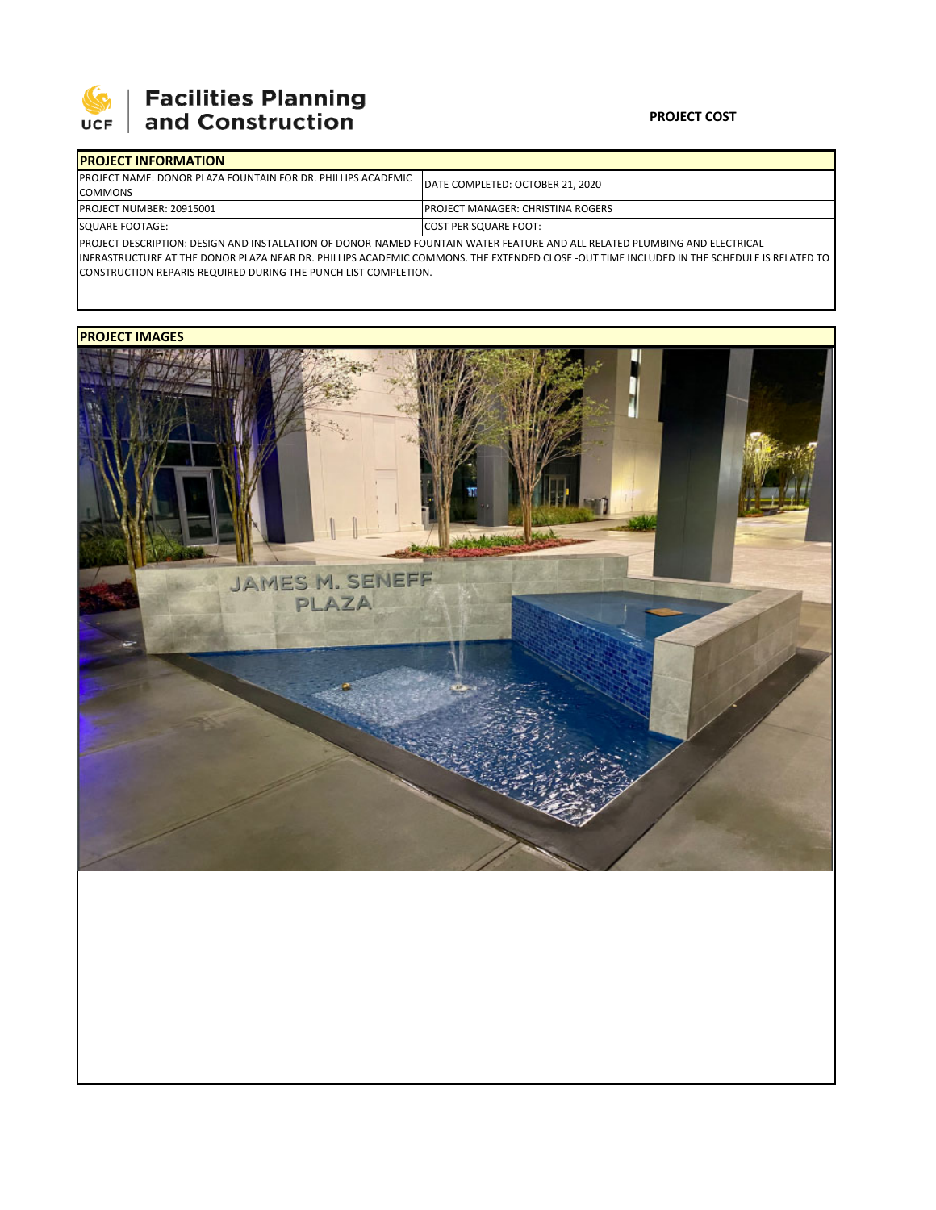

# **SEPTE AND Facilities Planning**<br>UCF and Construction

#### **PROJECT COST**

| <b>IPROJECT INFORMATION</b>                                                                                                  |                                           |  |  |  |  |
|------------------------------------------------------------------------------------------------------------------------------|-------------------------------------------|--|--|--|--|
| <b>IPROJECT NAME: DONOR PLAZA FOUNTAIN FOR DR. PHILLIPS ACADEMIC</b>                                                         | DATE COMPLETED: OCTOBER 21, 2020          |  |  |  |  |
| <b>COMMONS</b>                                                                                                               |                                           |  |  |  |  |
| <b>PROJECT NUMBER: 20915001</b>                                                                                              | <b>IPROJECT MANAGER: CHRISTINA ROGERS</b> |  |  |  |  |
| <b>SQUARE FOOTAGE:</b>                                                                                                       | <b>COST PER SQUARE FOOT:</b>              |  |  |  |  |
| IDDOIECT DECCDIDTION: DECICN AND INCTALLATION OF DONOD NAMED FOLINTAIN WATER FEATURE AND ALL BELATED BLUADING AND ELECTRICAL |                                           |  |  |  |  |

PROJECT DESCRIPTION: DESIGN AND INSTALLATION OF DONOR‐NAMED FOUNTAIN WATER FEATURE AND ALL RELATED PLUMBING AND ELECTRICAL INFRASTRUCTURE AT THE DONOR PLAZA NEAR DR. PHILLIPS ACADEMIC COMMONS. THE EXTENDED CLOSE ‐OUT TIME INCLUDED IN THE SCHEDULE IS RELATED TO CONSTRUCTION REPARIS REQUIRED DURING THE PUNCH LIST COMPLETION.

## **PROJECT IMAGES**